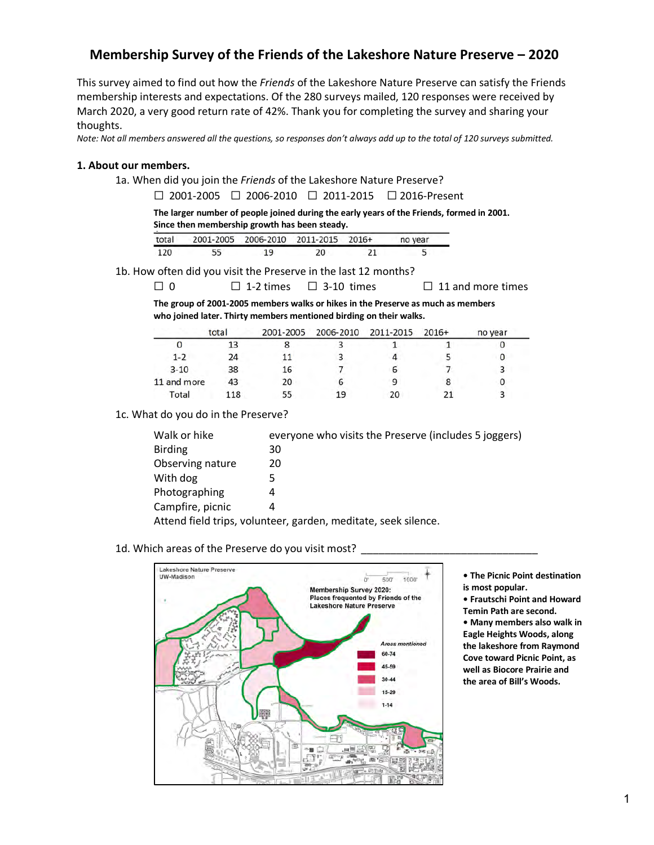# **Membership Survey of the Friends of the Lakeshore Nature Preserve – 2020**

This survey aimed to find out how the *Friends* of the Lakeshore Nature Preserve can satisfy the Friends membership interests and expectations. Of the 280 surveys mailed, 120 responses were received by March 2020, a very good return rate of 42%. Thank you for completing the survey and sharing your thoughts.

*Note: Not all members answered all the questions, so responses don't always add up to the total of 120 surveys submitted.*

#### **1. About our members.**

1a. When did you join the *Friends* of the Lakeshore Nature Preserve?

☐ 2001-2005 ☐ 2006-2010 ☐ 2011-2015 ☐ 2016-Present

**The larger number of people joined during the early years of the Friends, formed in 2001. Since then membership growth has been steady.** 

| total |    |    | 2001-2005 2006-2010 2011-2015 2016+ |    | no year |
|-------|----|----|-------------------------------------|----|---------|
| 120   | 55 | 19 | 20                                  | 21 |         |

# 1b. How often did you visit the Preserve in the last 12 months?

☐ 0 ☐ 1-2 times ☐ 3-10 times ☐ 11 and more times

**The group of 2001-2005 members walks or hikes in the Preserve as much as members who joined later. Thirty members mentioned birding on their walks.**

|             | total | 2001-2005 |    | 2006-2010 2011-2015 2016+ | no year |  |
|-------------|-------|-----------|----|---------------------------|---------|--|
|             | 13    |           |    |                           |         |  |
| $1 - 2$     | 24    |           |    |                           |         |  |
| $3 - 10$    | 38    | 16        |    | o                         |         |  |
| 11 and more | 43    | 20        | o  |                           |         |  |
| Total       | 118   | 55        | 19 | 20                        |         |  |

# 1c. What do you do in the Preserve?

| Walk or hike     | everyone who visits the Preserve (includes 5 joggers)          |
|------------------|----------------------------------------------------------------|
| <b>Birding</b>   | 30                                                             |
| Observing nature | 20                                                             |
| With dog         | 5                                                              |
| Photographing    | 4                                                              |
| Campfire, picnic | 4                                                              |
|                  | Attend field trips, volunteer, garden, meditate, seek silence. |

#### 1d. Which areas of the Preserve do you visit most?



**• The Picnic Point destination is most popular.**

**• Frautschi Point and Howard Temin Path are second.**

**• Many members also walk in Eagle Heights Woods, along the lakeshore from Raymond Cove toward Picnic Point, as well as Biocore Prairie and the area of Bill's Woods.**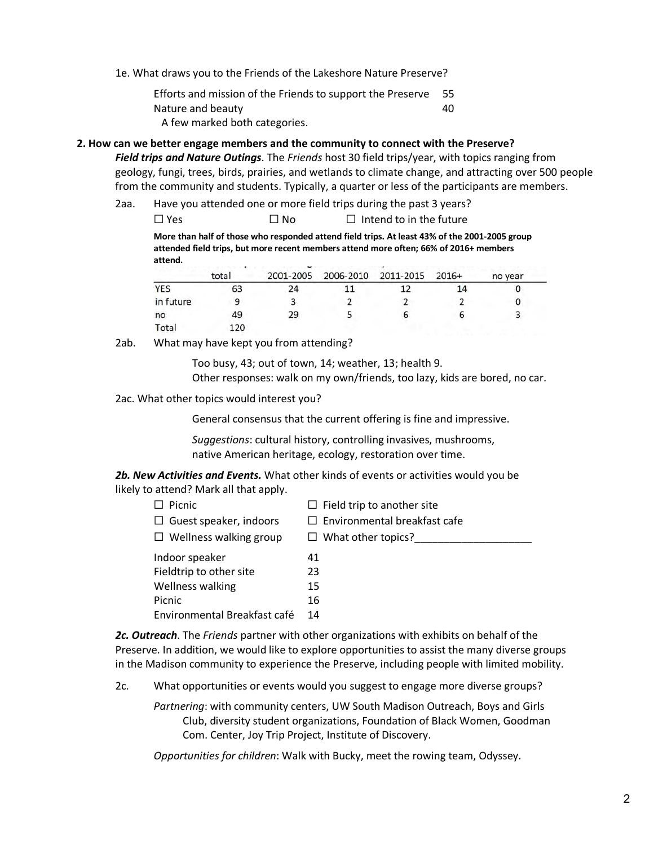1e. What draws you to the Friends of the Lakeshore Nature Preserve?

Efforts and mission of the Friends to support the Preserve 55 Nature and beauty and  $\frac{40}{40}$ A few marked both categories.

# **2. How can we better engage members and the community to connect with the Preserve?**

*Field trips and Nature Outings*. The *Friends* host 30 field trips/year, with topics ranging from geology, fungi, trees, birds, prairies, and wetlands to climate change, and attracting over 500 people from the community and students. Typically, a quarter or less of the participants are members.

- 2aa. Have you attended one or more field trips during the past 3 years?
	- $\Box$  Yes  $\Box$  No  $\Box$  Intend to in the future

**More than half of those who responded attend field trips. At least 43% of the 2001-2005 group attended field trips, but more recent members attend more often; 66% of 2016+ members attend.** 

|            | total |    | 2001-2005 2006-2010 2011-2015 2016+ |  | no year |  |
|------------|-------|----|-------------------------------------|--|---------|--|
| <b>YES</b> | 63    | 24 |                                     |  |         |  |
| in future  |       |    |                                     |  |         |  |
| no         | 49    | 29 |                                     |  |         |  |
| Total      | 120   |    |                                     |  |         |  |

2ab. What may have kept you from attending?

Too busy, 43; out of town, 14; weather, 13; health 9. Other responses: walk on my own/friends, too lazy, kids are bored, no car.

2ac. What other topics would interest you?

General consensus that the current offering is fine and impressive.

*Suggestions*: cultural history, controlling invasives, mushrooms, native American heritage, ecology, restoration over time.

*2b. New Activities and Events.* What other kinds of events or activities would you be likely to attend? Mark all that apply.

| Picnic                        | $\Box$ Field trip to another site   |
|-------------------------------|-------------------------------------|
| $\Box$ Guest speaker, indoors | $\Box$ Environmental breakfast cafe |
| $\Box$ Wellness walking group | $\Box$ What other topics?           |
| Indoor speaker                | 41                                  |
| Fieldtrip to other site       | 23                                  |
| <b>Wellness walking</b>       | 15                                  |
| Picnic                        | 16                                  |
| Environmental Breakfast café  | 14                                  |

*2c. Outreach*. The *Friends* partner with other organizations with exhibits on behalf of the Preserve. In addition, we would like to explore opportunities to assist the many diverse groups in the Madison community to experience the Preserve, including people with limited mobility.

2c. What opportunities or events would you suggest to engage more diverse groups?

*Partnering*: with community centers, UW South Madison Outreach, Boys and Girls Club, diversity student organizations, Foundation of Black Women, Goodman Com. Center, Joy Trip Project, Institute of Discovery.

*Opportunities for children*: Walk with Bucky, meet the rowing team, Odyssey.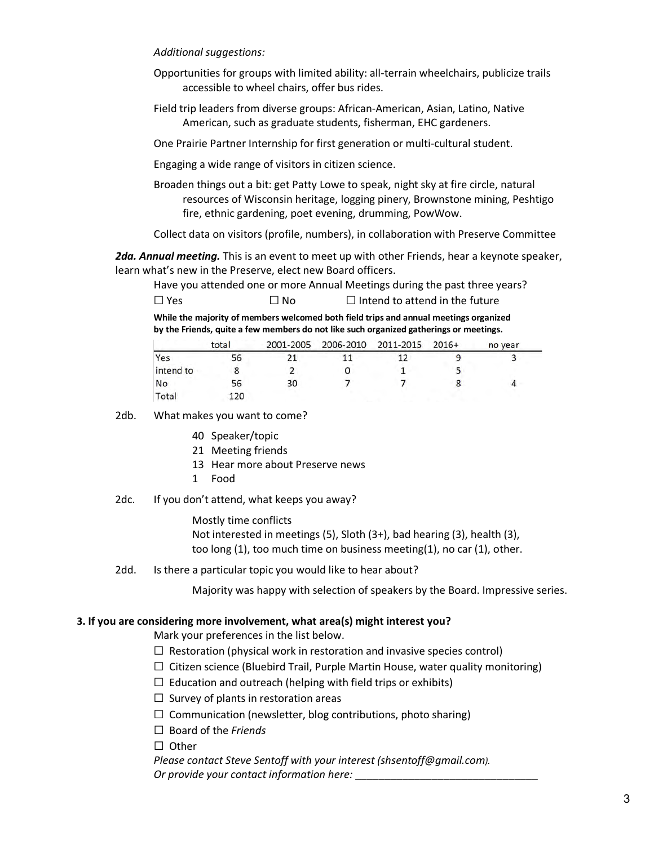# *Additional suggestions:*

- Opportunities for groups with limited ability: all-terrain wheelchairs, publicize trails accessible to wheel chairs, offer bus rides.
- Field trip leaders from diverse groups: African-American, Asian, Latino, Native American, such as graduate students, fisherman, EHC gardeners.
- One Prairie Partner Internship for first generation or multi-cultural student.
- Engaging a wide range of visitors in citizen science.
- Broaden things out a bit: get Patty Lowe to speak, night sky at fire circle, natural resources of Wisconsin heritage, logging pinery, Brownstone mining, Peshtigo fire, ethnic gardening, poet evening, drumming, PowWow.

Collect data on visitors (profile, numbers), in collaboration with Preserve Committee

*2da. Annual meeting.* This is an event to meet up with other Friends, hear a keynote speaker, learn what's new in the Preserve, elect new Board officers.

|            |      | Have you attended one or more Annual Meetings during the past three years? |
|------------|------|----------------------------------------------------------------------------|
| $\Box$ Yes | ⊟ No | $\Box$ Intend to attend in the future                                      |

**While the majority of members welcomed both field trips and annual meetings organized by the Friends, quite a few members do not like such organized gatherings or meetings.**

|           | total |    | 2001-2005 2006-2010 2011-2015 2016+ |  | no year |  |
|-----------|-------|----|-------------------------------------|--|---------|--|
| Yes       | 56    |    |                                     |  |         |  |
| intend to |       |    |                                     |  |         |  |
| No        | 56    | 30 |                                     |  |         |  |
| Total     | 120   |    |                                     |  |         |  |

2db. What makes you want to come?

- 40 Speaker/topic
- 21 Meeting friends
- 13 Hear more about Preserve news
- 1 Food
- 2dc. If you don't attend, what keeps you away?

Mostly time conflicts Not interested in meetings (5), Sloth (3+), bad hearing (3), health (3), too long (1), too much time on business meeting(1), no car (1), other.

2dd. Is there a particular topic you would like to hear about?

Majority was happy with selection of speakers by the Board. Impressive series.

# **3. If you are considering more involvement, what area(s) might interest you?**

Mark your preferences in the list below.

- $\Box$  Restoration (physical work in restoration and invasive species control)
- $\Box$  Citizen science (Bluebird Trail, Purple Martin House, water quality monitoring)
- $\Box$  Education and outreach (helping with field trips or exhibits)
- $\Box$  Survey of plants in restoration areas
- $\Box$  Communication (newsletter, blog contributions, photo sharing)
- ☐ Board of the *Friends*

☐Other

 *Please contact Steve Sentoff with your interest (shsentoff@gmail.com). Or provide your contact information here:* \_\_\_\_\_\_\_\_\_\_\_\_\_\_\_\_\_\_\_\_\_\_\_\_\_\_\_\_\_\_\_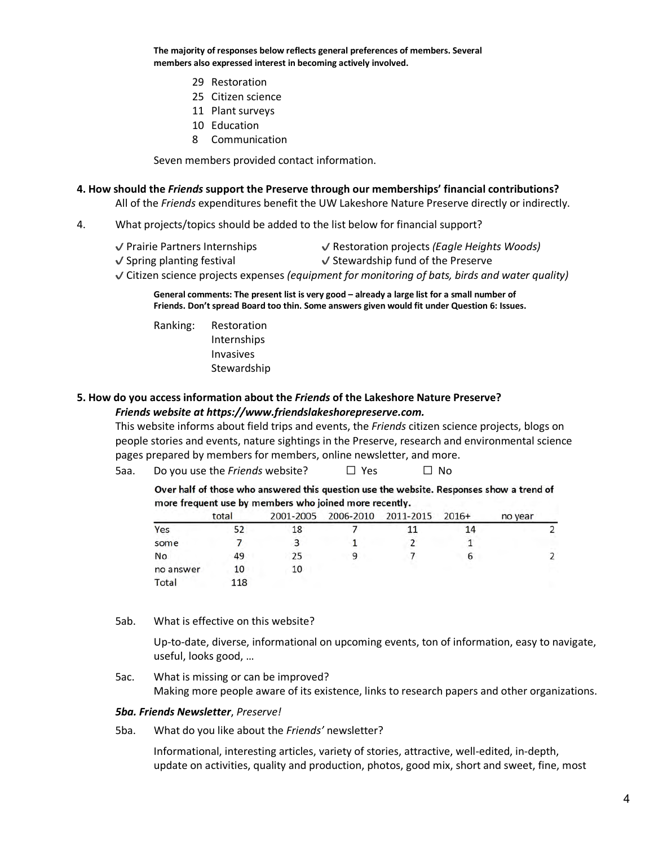**The majority of responses below reflects general preferences of members. Several members also expressed interest in becoming actively involved.** 

- 29 Restoration
- 25 Citizen science
- 11 Plant surveys
- 10 Education
- 8 Communication

Seven members provided contact information.

#### **4. How should the** *Friends* **support the Preserve through our memberships' financial contributions?**

All of the *Friends* expenditures benefit the UW Lakeshore Nature Preserve directly or indirectly.

- 4. What projects/topics should be added to the list below for financial support?
	- ✔ Prairie Partners Internships ✔ Restoration projects *(Eagle Heights Woods)*
		-
	- $\checkmark$  Spring planting festival  $\checkmark$  Stewardship fund of the Preserve
	- ✔ Citizen science projects expenses *(equipment for monitoring of bats, birds and water quality)*

**General comments: The present list is very good – already a large list for a small number of Friends. Don't spread Board too thin. Some answers given would fit under Question 6: Issues.**

Ranking: Restoration Internships Invasives **Stewardship** 

# **5. How do you access information about the** *Friends* **of the Lakeshore Nature Preserve?** *Friends website at https://www.friendslakeshorepreserve.com.*

This website informs about field trips and events, the *Friends* citizen science projects, blogs on people stories and events, nature sightings in the Preserve, research and environmental science pages prepared by members for members, online newsletter, and more.

5aa. Do you use the *Friends* website? □ Yes □ No

Over half of those who answered this question use the website. Responses show a trend of more frequent use by members who joined more recently.

|           | total | 2001-2005 | 2006-2010 2011-2015 2016+ |    | no year |
|-----------|-------|-----------|---------------------------|----|---------|
| Yes       |       | 18        |                           | 14 |         |
| some      |       |           |                           |    |         |
| No        | 49    | 25        |                           | b  |         |
| no answer | 10    | 10        |                           |    |         |
| Total     | 118   |           |                           |    |         |

5ab. What is effective on this website?

Up-to-date, diverse, informational on upcoming events, ton of information, easy to navigate, useful, looks good, …

5ac. What is missing or can be improved? Making more people aware of its existence, links to research papers and other organizations.

## *5ba. Friends Newsletter*, *Preserve!*

5ba. What do you like about the *Friends'* newsletter?

Informational, interesting articles, variety of stories, attractive, well-edited, in-depth, update on activities, quality and production, photos, good mix, short and sweet, fine, most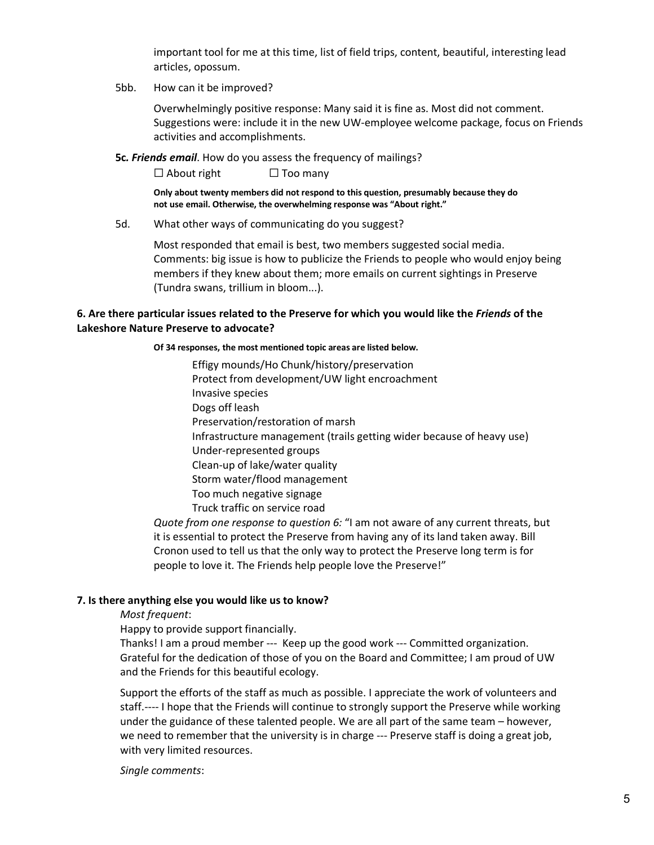important tool for me at this time, list of field trips, content, beautiful, interesting lead articles, opossum.

5bb. How can it be improved?

Overwhelmingly positive response: Many said it is fine as. Most did not comment. Suggestions were: include it in the new UW-employee welcome package, focus on Friends activities and accomplishments.

**5c***. Friends email*. How do you assess the frequency of mailings?

 $\Box$  About right  $\Box$  Too many

**Only about twenty members did not respond to this question, presumably because they do not use email. Otherwise, the overwhelming response was "About right."** 

5d. What other ways of communicating do you suggest?

Most responded that email is best, two members suggested social media. Comments: big issue is how to publicize the Friends to people who would enjoy being members if they knew about them; more emails on current sightings in Preserve (Tundra swans, trillium in bloom...).

# **6. Are there particular issues related to the Preserve for which you would like the** *Friends* **of the Lakeshore Nature Preserve to advocate?**

#### **Of 34 responses, the most mentioned topic areas are listed below.**

Effigy mounds/Ho Chunk/history/preservation Protect from development/UW light encroachment Invasive species Dogs off leash Preservation/restoration of marsh Infrastructure management (trails getting wider because of heavy use) Under-represented groups Clean-up of lake/water quality Storm water/flood management Too much negative signage Truck traffic on service road *Quote from one response to question 6:* "I am not aware of any current threats, but

it is essential to protect the Preserve from having any of its land taken away. Bill Cronon used to tell us that the only way to protect the Preserve long term is for people to love it. The Friends help people love the Preserve!"

## **7. Is there anything else you would like us to know?**

## *Most frequent*:

Happy to provide support financially.

Thanks! I am a proud member --- Keep up the good work --- Committed organization. Grateful for the dedication of those of you on the Board and Committee; I am proud of UW and the Friends for this beautiful ecology.

Support the efforts of the staff as much as possible. I appreciate the work of volunteers and staff.---- I hope that the Friends will continue to strongly support the Preserve while working under the guidance of these talented people. We are all part of the same team – however, we need to remember that the university is in charge --- Preserve staff is doing a great job, with very limited resources.

*Single comments*: